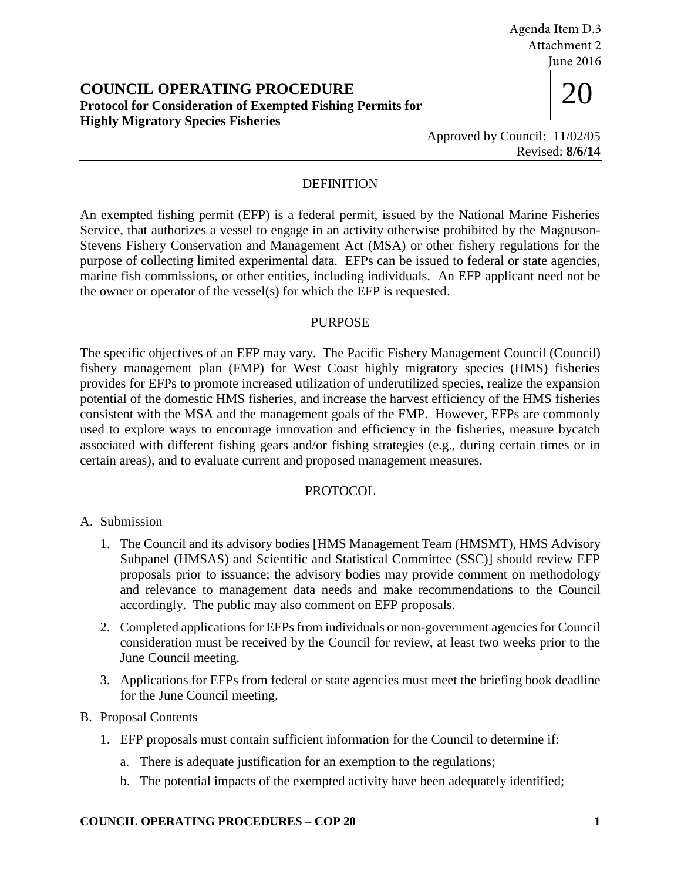20 **COUNCIL OPERATING PROCEDURE Protocol for Consideration of Exempted Fishing Permits for Highly Migratory Species Fisheries** 





Approved by Council: 11/02/05 Revised: **8/6/14**

# DEFINITION

An exempted fishing permit (EFP) is a federal permit, issued by the National Marine Fisheries Service, that authorizes a vessel to engage in an activity otherwise prohibited by the Magnuson-Stevens Fishery Conservation and Management Act (MSA) or other fishery regulations for the purpose of collecting limited experimental data. EFPs can be issued to federal or state agencies, marine fish commissions, or other entities, including individuals. An EFP applicant need not be the owner or operator of the vessel(s) for which the EFP is requested.

### PURPOSE

The specific objectives of an EFP may vary. The Pacific Fishery Management Council (Council) fishery management plan (FMP) for West Coast highly migratory species (HMS) fisheries provides for EFPs to promote increased utilization of underutilized species, realize the expansion potential of the domestic HMS fisheries, and increase the harvest efficiency of the HMS fisheries consistent with the MSA and the management goals of the FMP. However, EFPs are commonly used to explore ways to encourage innovation and efficiency in the fisheries, measure bycatch associated with different fishing gears and/or fishing strategies (e.g., during certain times or in certain areas), and to evaluate current and proposed management measures.

### PROTOCOL

## A. Submission

- 1. The Council and its advisory bodies [HMS Management Team (HMSMT), HMS Advisory Subpanel (HMSAS) and Scientific and Statistical Committee (SSC)] should review EFP proposals prior to issuance; the advisory bodies may provide comment on methodology and relevance to management data needs and make recommendations to the Council accordingly. The public may also comment on EFP proposals.
- 2. Completed applications for EFPs from individuals or non-government agencies for Council consideration must be received by the Council for review, at least two weeks prior to the June Council meeting.
- 3. Applications for EFPs from federal or state agencies must meet the briefing book deadline for the June Council meeting.

## B. Proposal Contents

- 1. EFP proposals must contain sufficient information for the Council to determine if:
	- a. There is adequate justification for an exemption to the regulations;
	- b. The potential impacts of the exempted activity have been adequately identified;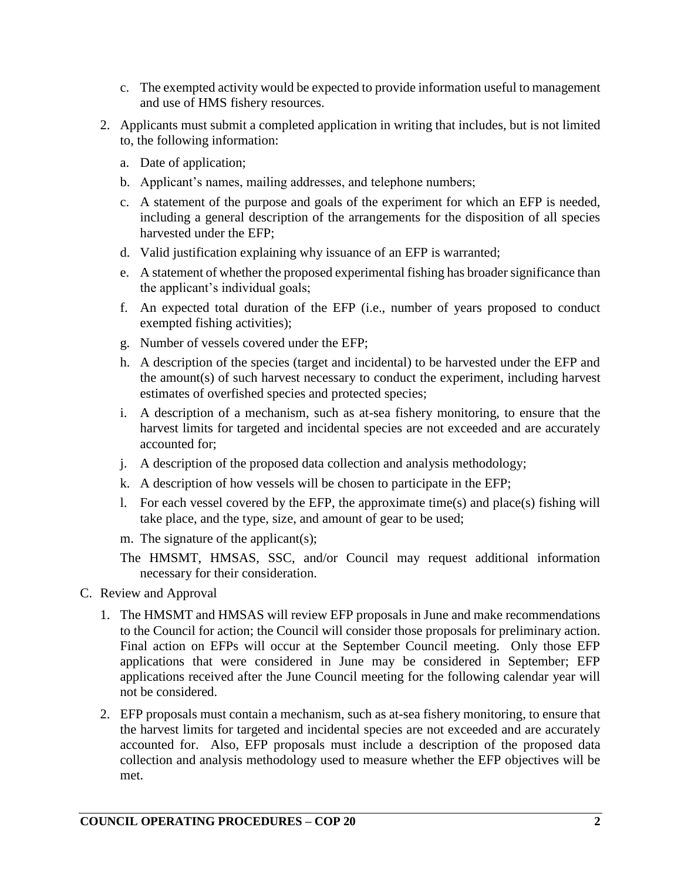- c. The exempted activity would be expected to provide information useful to management and use of HMS fishery resources.
- 2. Applicants must submit a completed application in writing that includes, but is not limited to, the following information:
	- a. Date of application;
	- b. Applicant's names, mailing addresses, and telephone numbers;
	- c. A statement of the purpose and goals of the experiment for which an EFP is needed, including a general description of the arrangements for the disposition of all species harvested under the EFP;
	- d. Valid justification explaining why issuance of an EFP is warranted;
	- e. A statement of whether the proposed experimental fishing has broader significance than the applicant's individual goals;
	- f. An expected total duration of the EFP (i.e., number of years proposed to conduct exempted fishing activities);
	- g. Number of vessels covered under the EFP;
	- h. A description of the species (target and incidental) to be harvested under the EFP and the amount(s) of such harvest necessary to conduct the experiment, including harvest estimates of overfished species and protected species;
	- i. A description of a mechanism, such as at-sea fishery monitoring, to ensure that the harvest limits for targeted and incidental species are not exceeded and are accurately accounted for;
	- j. A description of the proposed data collection and analysis methodology;
	- k. A description of how vessels will be chosen to participate in the EFP;
	- l. For each vessel covered by the EFP, the approximate time(s) and place(s) fishing will take place, and the type, size, and amount of gear to be used;
	- m. The signature of the applicant(s);
	- The HMSMT, HMSAS, SSC, and/or Council may request additional information necessary for their consideration.
- C. Review and Approval
	- 1. The HMSMT and HMSAS will review EFP proposals in June and make recommendations to the Council for action; the Council will consider those proposals for preliminary action. Final action on EFPs will occur at the September Council meeting. Only those EFP applications that were considered in June may be considered in September; EFP applications received after the June Council meeting for the following calendar year will not be considered.
	- 2. EFP proposals must contain a mechanism, such as at-sea fishery monitoring, to ensure that the harvest limits for targeted and incidental species are not exceeded and are accurately accounted for. Also, EFP proposals must include a description of the proposed data collection and analysis methodology used to measure whether the EFP objectives will be met.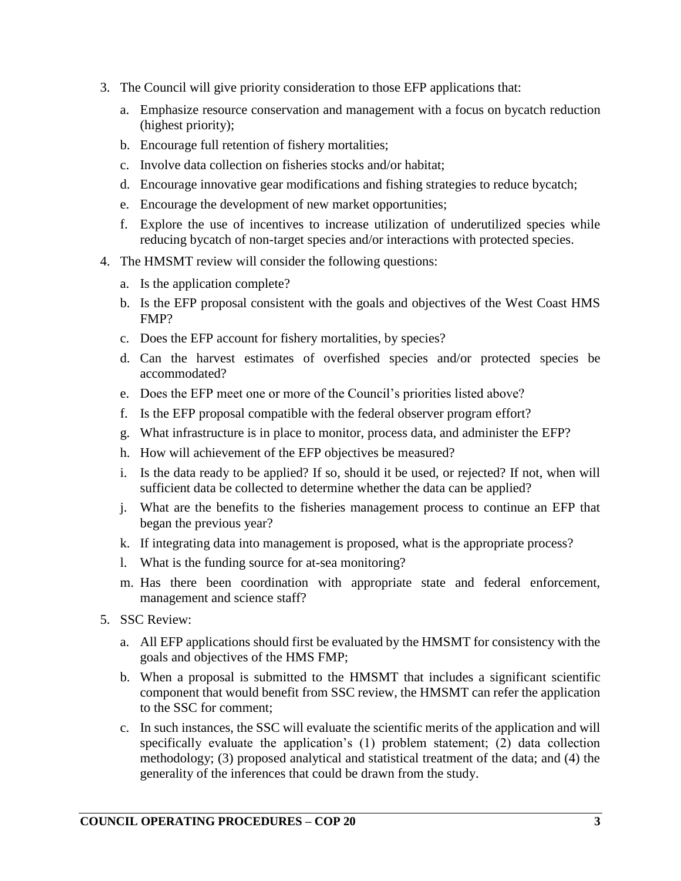- 3. The Council will give priority consideration to those EFP applications that:
	- a. Emphasize resource conservation and management with a focus on bycatch reduction (highest priority);
	- b. Encourage full retention of fishery mortalities;
	- c. Involve data collection on fisheries stocks and/or habitat;
	- d. Encourage innovative gear modifications and fishing strategies to reduce bycatch;
	- e. Encourage the development of new market opportunities;
	- f. Explore the use of incentives to increase utilization of underutilized species while reducing bycatch of non-target species and/or interactions with protected species.
- 4. The HMSMT review will consider the following questions:
	- a. Is the application complete?
	- b. Is the EFP proposal consistent with the goals and objectives of the West Coast HMS FMP?
	- c. Does the EFP account for fishery mortalities, by species?
	- d. Can the harvest estimates of overfished species and/or protected species be accommodated?
	- e. Does the EFP meet one or more of the Council's priorities listed above?
	- f. Is the EFP proposal compatible with the federal observer program effort?
	- g. What infrastructure is in place to monitor, process data, and administer the EFP?
	- h. How will achievement of the EFP objectives be measured?
	- i. Is the data ready to be applied? If so, should it be used, or rejected? If not, when will sufficient data be collected to determine whether the data can be applied?
	- j. What are the benefits to the fisheries management process to continue an EFP that began the previous year?
	- k. If integrating data into management is proposed, what is the appropriate process?
	- l. What is the funding source for at-sea monitoring?
	- m. Has there been coordination with appropriate state and federal enforcement, management and science staff?
- 5. SSC Review:
	- a. All EFP applications should first be evaluated by the HMSMT for consistency with the goals and objectives of the HMS FMP;
	- b. When a proposal is submitted to the HMSMT that includes a significant scientific component that would benefit from SSC review, the HMSMT can refer the application to the SSC for comment;
	- c. In such instances, the SSC will evaluate the scientific merits of the application and will specifically evaluate the application's (1) problem statement; (2) data collection methodology; (3) proposed analytical and statistical treatment of the data; and (4) the generality of the inferences that could be drawn from the study.